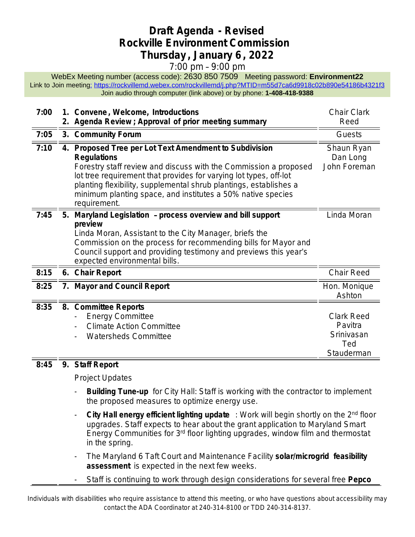## **Draft Agenda - Revised Rockville Environment Commission Thursday , January 6 , 2022**

## 7:00 pm – 9:00 pm

WebEx Meeting number (access code): 2630 850 7509 Meeting password: **Environment22** Link to Join meetin[g:](https://rockvillemd.webex.com/rockvillemd/j.php?MTID=m55d7ca6d9918c02b890e54186b4321f3) <https://rockvillemd.webex.com/rockvillemd/j.php?MTID=m55d7ca6d9918c02b890e54186b4321f3> [Join audio through computer \(link above\) or by phone:](https://rockvillemd.webex.com/rockvillemd/j.php?MTID=m55d7ca6d9918c02b890e54186b4321f3) **[1-408-418-9388](https://rockvillemd.webex.com/rockvillemd/j.php?MTID=m55d7ca6d9918c02b890e54186b4321f3)**

| 7:00 |    | 1. Convene, Welcome, Introductions<br>2. Agenda Review ; Approval of prior meeting summary                                                                                                                                                                                                                                                                                | <b>Chair Clark</b><br>Reed                                      |
|------|----|---------------------------------------------------------------------------------------------------------------------------------------------------------------------------------------------------------------------------------------------------------------------------------------------------------------------------------------------------------------------------|-----------------------------------------------------------------|
| 7:05 |    | 3. Community Forum                                                                                                                                                                                                                                                                                                                                                        | Guests                                                          |
| 7:10 |    | 4. Proposed Tree per Lot Text Amendment to Subdivision<br><b>Regulations</b><br>Forestry staff review and discuss with the Commission a proposed<br>lot tree requirement that provides for varying lot types, off-lot<br>planting flexibility, supplemental shrub plantings, establishes a<br>minimum planting space, and institutes a 50% native species<br>requirement. | Shaun Ryan<br>Dan Long<br>John Foreman                          |
| 7:45 | 5. | Maryland Legislation - process overview and bill support<br>preview<br>Linda Moran, Assistant to the City Manager, briefs the<br>Commission on the process for recommending bills for Mayor and<br>Council support and providing testimony and previews this year's<br>expected environmental bills.                                                                      | Linda Moran                                                     |
| 8:15 |    | 6. Chair Report                                                                                                                                                                                                                                                                                                                                                           | Chair Reed                                                      |
| 8:25 |    | 7. Mayor and Council Report                                                                                                                                                                                                                                                                                                                                               | Hon. Monique<br>Ashton                                          |
| 8:35 |    | 8. Committee Reports<br><b>Energy Committee</b><br><b>Climate Action Committee</b><br><b>Watersheds Committee</b>                                                                                                                                                                                                                                                         | <b>Clark Reed</b><br>Pavitra<br>Srinivasan<br>Ted<br>Stauderman |

## **[8:45](https://rockvillemd.webex.com/rockvillemd/j.php?MTID=m55d7ca6d9918c02b890e54186b4321f3) 9. [Staff Report](https://rockvillemd.webex.com/rockvillemd/j.php?MTID=m55d7ca6d9918c02b890e54186b4321f3)**

[Project Updates](https://rockvillemd.webex.com/rockvillemd/j.php?MTID=m55d7ca6d9918c02b890e54186b4321f3)

- **[Building Tune-up](https://rockvillemd.webex.com/rockvillemd/j.php?MTID=m55d7ca6d9918c02b890e54186b4321f3)** for City Hall: Staff is working with the contractor to implement [the proposed measures to optimize energy use.](https://rockvillemd.webex.com/rockvillemd/j.php?MTID=m55d7ca6d9918c02b890e54186b4321f3)
- **[City Hall energy efficient lighting update](https://rockvillemd.webex.com/rockvillemd/j.php?MTID=m55d7ca6d9918c02b890e54186b4321f3)** [: Work will begin shortly on the 2](https://rockvillemd.webex.com/rockvillemd/j.php?MTID=m55d7ca6d9918c02b890e54186b4321f3)<sup>[nd](https://rockvillemd.webex.com/rockvillemd/j.php?MTID=m55d7ca6d9918c02b890e54186b4321f3)</sup> [floor](https://rockvillemd.webex.com/rockvillemd/j.php?MTID=m55d7ca6d9918c02b890e54186b4321f3) [upgrades. Staff expects to hear about the grant application to Maryland Smart](https://rockvillemd.webex.com/rockvillemd/j.php?MTID=m55d7ca6d9918c02b890e54186b4321f3)  [Energy Communities](https://rockvillemd.webex.com/rockvillemd/j.php?MTID=m55d7ca6d9918c02b890e54186b4321f3) [for 3](https://rockvillemd.webex.com/rockvillemd/j.php?MTID=m55d7ca6d9918c02b890e54186b4321f3)[rd](https://rockvillemd.webex.com/rockvillemd/j.php?MTID=m55d7ca6d9918c02b890e54186b4321f3) [floor lighting upgrades, window film and thermostat](https://rockvillemd.webex.com/rockvillemd/j.php?MTID=m55d7ca6d9918c02b890e54186b4321f3)  [in the spring.](https://rockvillemd.webex.com/rockvillemd/j.php?MTID=m55d7ca6d9918c02b890e54186b4321f3)
- [The Maryland 6 Taft Court and Maintenance Facility](https://rockvillemd.webex.com/rockvillemd/j.php?MTID=m55d7ca6d9918c02b890e54186b4321f3) **[solar/microgrid feasibility](https://rockvillemd.webex.com/rockvillemd/j.php?MTID=m55d7ca6d9918c02b890e54186b4321f3)  [assessment](https://rockvillemd.webex.com/rockvillemd/j.php?MTID=m55d7ca6d9918c02b890e54186b4321f3)** [is expected](https://rockvillemd.webex.com/rockvillemd/j.php?MTID=m55d7ca6d9918c02b890e54186b4321f3) [in the next few weeks.](https://rockvillemd.webex.com/rockvillemd/j.php?MTID=m55d7ca6d9918c02b890e54186b4321f3)
- [Staff is continuing to work through design considerations for several free](https://rockvillemd.webex.com/rockvillemd/j.php?MTID=m55d7ca6d9918c02b890e54186b4321f3) **[Pepco](https://rockvillemd.webex.com/rockvillemd/j.php?MTID=m55d7ca6d9918c02b890e54186b4321f3)**

Individuals with disabilities who require assistance to attend this meeting, or who have questions about accessibility may contact the ADA Coordinator at 240-314-8100 or TDD 240-314-8137.